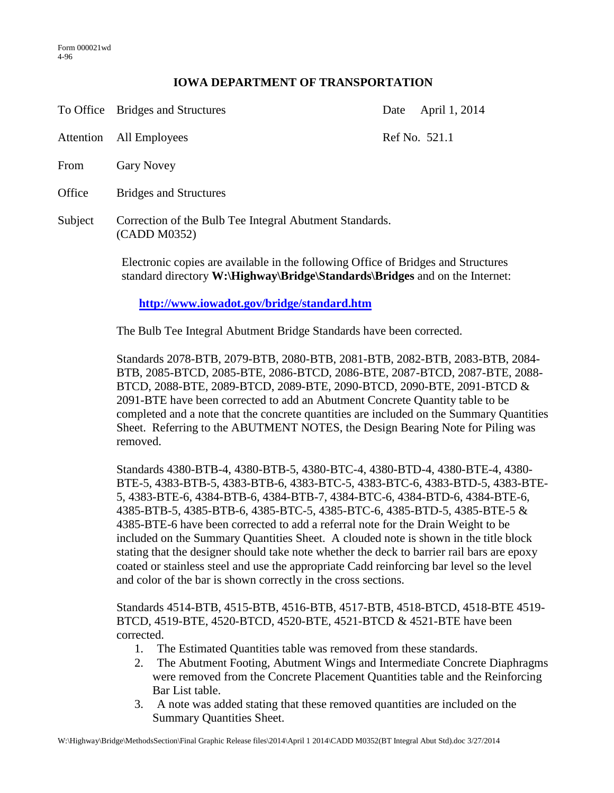## **IOWA DEPARTMENT OF TRANSPORTATION**

|         | To Office Bridges and Structures                                        | Date | April 1, 2014 |
|---------|-------------------------------------------------------------------------|------|---------------|
|         | Attention All Employees                                                 |      | Ref No. 521.1 |
| From    | <b>Gary Novey</b>                                                       |      |               |
| Office  | <b>Bridges and Structures</b>                                           |      |               |
| Subject | Correction of the Bulb Tee Integral Abutment Standards.<br>(CADD M0352) |      |               |

Electronic copies are available in the following Office of Bridges and Structures standard directory **W:\Highway\Bridge\Standards\Bridges** and on the Internet:

**<http://www.iowadot.gov/bridge/standard.htm>**

The Bulb Tee Integral Abutment Bridge Standards have been corrected.

Standards 2078-BTB, 2079-BTB, 2080-BTB, 2081-BTB, 2082-BTB, 2083-BTB, 2084- BTB, 2085-BTCD, 2085-BTE, 2086-BTCD, 2086-BTE, 2087-BTCD, 2087-BTE, 2088- BTCD, 2088-BTE, 2089-BTCD, 2089-BTE, 2090-BTCD, 2090-BTE, 2091-BTCD & 2091-BTE have been corrected to add an Abutment Concrete Quantity table to be completed and a note that the concrete quantities are included on the Summary Quantities Sheet. Referring to the ABUTMENT NOTES, the Design Bearing Note for Piling was removed.

Standards 4380-BTB-4, 4380-BTB-5, 4380-BTC-4, 4380-BTD-4, 4380-BTE-4, 4380- BTE-5, 4383-BTB-5, 4383-BTB-6, 4383-BTC-5, 4383-BTC-6, 4383-BTD-5, 4383-BTE-5, 4383-BTE-6, 4384-BTB-6, 4384-BTB-7, 4384-BTC-6, 4384-BTD-6, 4384-BTE-6, 4385-BTB-5, 4385-BTB-6, 4385-BTC-5, 4385-BTC-6, 4385-BTD-5, 4385-BTE-5 & 4385-BTE-6 have been corrected to add a referral note for the Drain Weight to be included on the Summary Quantities Sheet. A clouded note is shown in the title block stating that the designer should take note whether the deck to barrier rail bars are epoxy coated or stainless steel and use the appropriate Cadd reinforcing bar level so the level and color of the bar is shown correctly in the cross sections.

Standards 4514-BTB, 4515-BTB, 4516-BTB, 4517-BTB, 4518-BTCD, 4518-BTE 4519- BTCD, 4519-BTE, 4520-BTCD, 4520-BTE, 4521-BTCD & 4521-BTE have been corrected.

- 1. The Estimated Quantities table was removed from these standards.
- 2. The Abutment Footing, Abutment Wings and Intermediate Concrete Diaphragms were removed from the Concrete Placement Quantities table and the Reinforcing Bar List table.
- 3. A note was added stating that these removed quantities are included on the Summary Quantities Sheet.